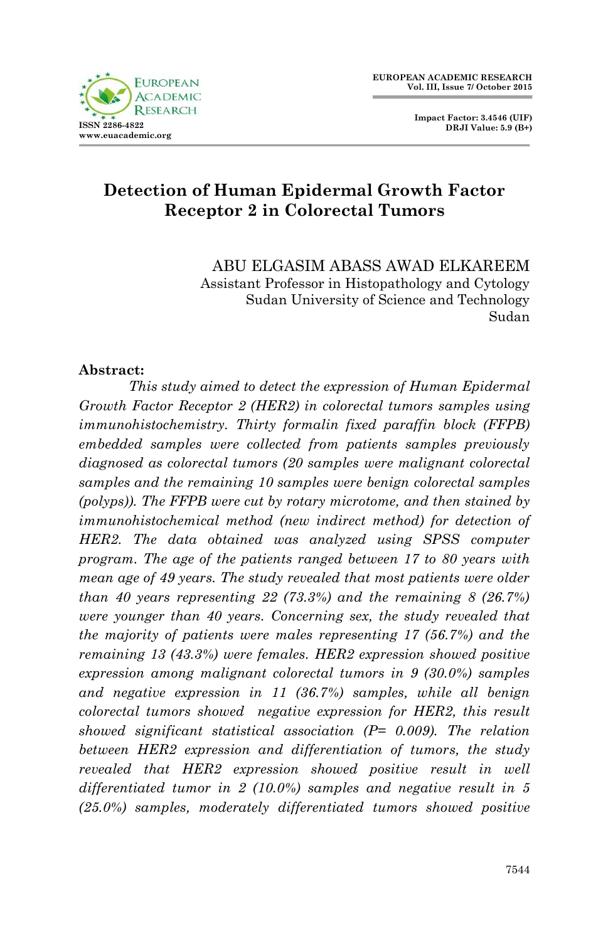

 **Impact Factor: 3.4546 (UIF) DRJI Value: 5.9 (B+)**

# **Detection of Human Epidermal Growth Factor Receptor 2 in Colorectal Tumors**

ABU ELGASIM ABASS AWAD ELKAREEM Assistant Professor in Histopathology and Cytology Sudan University of Science and Technology Sudan

#### **Abstract:**

*This study aimed to detect the expression of Human Epidermal Growth Factor Receptor 2 (HER2) in colorectal tumors samples using immunohistochemistry. Thirty formalin fixed paraffin block (FFPB) embedded samples were collected from patients samples previously diagnosed as colorectal tumors (20 samples were malignant colorectal samples and the remaining 10 samples were benign colorectal samples (polyps)). The FFPB were cut by rotary microtome, and then stained by immunohistochemical method (new indirect method) for detection of HER2. The data obtained was analyzed using SPSS computer program. The age of the patients ranged between 17 to 80 years with mean age of 49 years. The study revealed that most patients were older than 40 years representing 22 (73.3%) and the remaining 8 (26.7%) were younger than 40 years. Concerning sex, the study revealed that the majority of patients were males representing 17 (56.7%) and the remaining 13 (43.3%) were females. HER2 expression showed positive expression among malignant colorectal tumors in 9 (30.0%) samples and negative expression in 11 (36.7%) samples, while all benign colorectal tumors showed negative expression for HER2, this result showed significant statistical association (P= 0.009). The relation between HER2 expression and differentiation of tumors, the study revealed that HER2 expression showed positive result in well differentiated tumor in 2 (10.0%) samples and negative result in 5 (25.0%) samples, moderately differentiated tumors showed positive*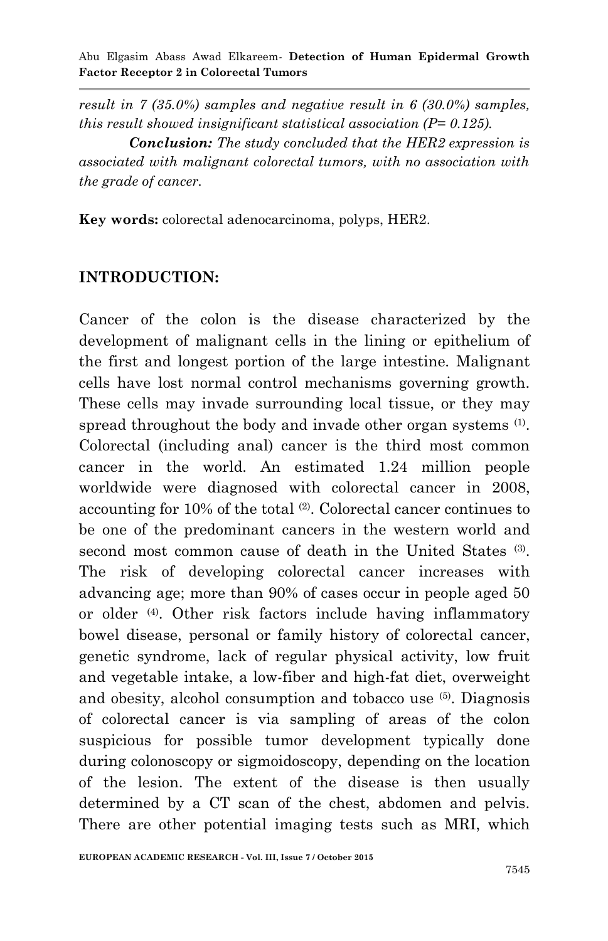*result in 7 (35.0%) samples and negative result in 6 (30.0%) samples, this result showed insignificant statistical association (P= 0.125).*

*Conclusion: The study concluded that the HER2 expression is associated with malignant colorectal tumors, with no association with the grade of cancer.*

**Key words:** colorectal adenocarcinoma, polyps, HER2.

#### **INTRODUCTION:**

Cancer of the colon is the disease characterized by the development of malignant cells in the lining or epithelium of the first and longest portion of the large intestine. Malignant cells have lost normal control mechanisms governing growth. These cells may invade surrounding local tissue, or they may spread throughout the body and invade other organ systems <sup>(1)</sup>. Colorectal (including anal) cancer is the third most common cancer in the world. An estimated 1.24 million people worldwide were diagnosed with colorectal cancer in 2008, accounting for 10% of the total <sup>(2)</sup>. Colorectal cancer continues to be one of the predominant cancers in the western world and second most common cause of death in the United States<sup>(3)</sup>. The risk of developing colorectal cancer increases with advancing age; more than 90% of cases occur in people aged 50 or older (4). Other risk factors include having inflammatory bowel disease, personal or family history of colorectal cancer, genetic syndrome, lack of regular physical activity, low fruit and vegetable intake, a low-fiber and high-fat diet, overweight and obesity, alcohol consumption and tobacco use (5) . Diagnosis of colorectal cancer is via sampling of areas of the colon suspicious for possible tumor development typically done during colonoscopy or sigmoidoscopy, depending on the location of the lesion. The extent of the disease is then usually determined by a CT scan of the chest, abdomen and pelvis. There are other potential imaging tests such as MRI, which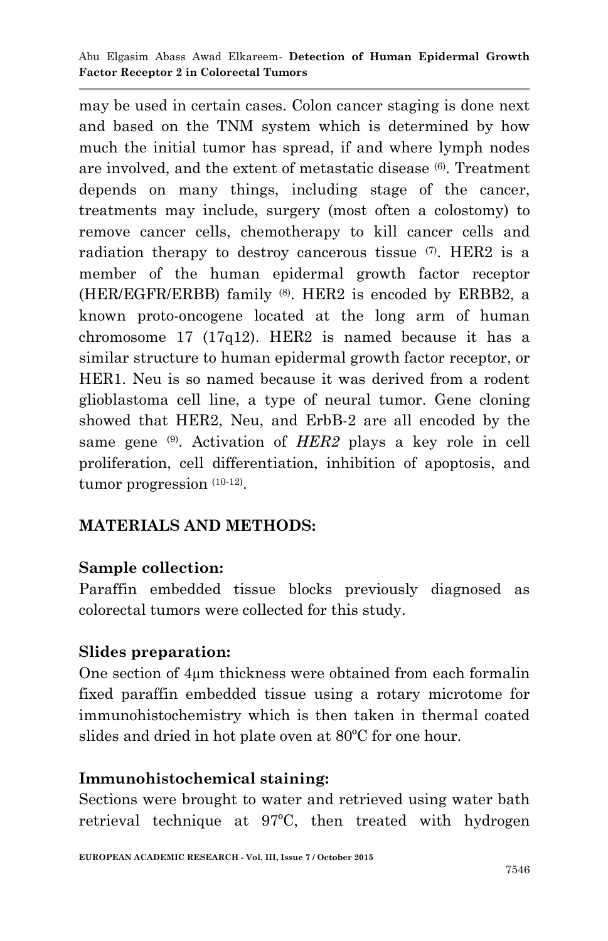may be used in certain cases. Colon cancer staging is done next and based on the TNM system which is determined by how much the initial tumor has spread, if and where lymph nodes are involved, and the extent of metastatic disease  $(6)$ . Treatment depends on many things, including stage of the cancer, treatments may include, surgery (most often a colostomy) to remove cancer cells, chemotherapy to kill cancer cells and radiation therapy to destroy cancerous tissue (7). HER2 is a member of the human epidermal growth factor receptor (HER/EGFR/ERBB) family (8). HER2 is encoded by ERBB2, a known proto-oncogene located at the long arm of human chromosome 17 (17q12). HER2 is named because it has a similar structure to human epidermal growth factor receptor, or HER1. Neu is so named because it was derived from a rodent glioblastoma cell line, a type of neural tumor. Gene cloning showed that HER2, Neu, and ErbB-2 are all encoded by the same gene <sup>(9)</sup>. Activation of *HER2* plays a key role in cell proliferation, cell differentiation, inhibition of apoptosis, and tumor progression  $(10-12)$ .

# **MATERIALS AND METHODS:**

## **Sample collection:**

Paraffin embedded tissue blocks previously diagnosed as colorectal tumors were collected for this study.

## **Slides preparation:**

One section of 4µm thickness were obtained from each formalin fixed paraffin embedded tissue using a rotary microtome for immunohistochemistry which is then taken in thermal coated slides and dried in hot plate oven at 80ºC for one hour.

## **Immunohistochemical staining:**

Sections were brought to water and retrieved using water bath retrieval technique at 97ºC, then treated with hydrogen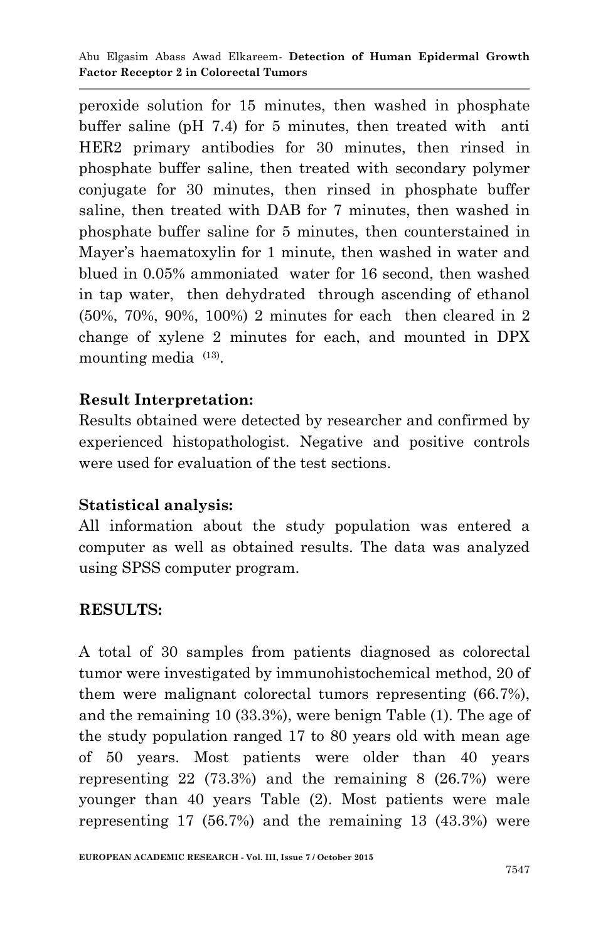peroxide solution for 15 minutes, then washed in phosphate buffer saline (pH 7.4) for 5 minutes, then treated with anti HER2 primary antibodies for 30 minutes, then rinsed in phosphate buffer saline, then treated with secondary polymer conjugate for 30 minutes, then rinsed in phosphate buffer saline, then treated with DAB for 7 minutes, then washed in phosphate buffer saline for 5 minutes, then counterstained in Mayer's haematoxylin for 1 minute, then washed in water and blued in 0.05% ammoniated water for 16 second, then washed in tap water, then dehydrated through ascending of ethanol (50%, 70%, 90%, 100%) 2 minutes for each then cleared in 2 change of xylene 2 minutes for each, and mounted in DPX mounting media  $(13)$ .

## **Result Interpretation:**

Results obtained were detected by researcher and confirmed by experienced histopathologist. Negative and positive controls were used for evaluation of the test sections.

## **Statistical analysis:**

All information about the study population was entered a computer as well as obtained results. The data was analyzed using SPSS computer program.

## **RESULTS:**

A total of 30 samples from patients diagnosed as colorectal tumor were investigated by immunohistochemical method, 20 of them were malignant colorectal tumors representing (66.7%), and the remaining 10 (33.3%), were benign Table (1). The age of the study population ranged 17 to 80 years old with mean age of 50 years. Most patients were older than 40 years representing 22 (73.3%) and the remaining 8 (26.7%) were younger than 40 years Table (2). Most patients were male representing 17 (56.7%) and the remaining 13 (43.3%) were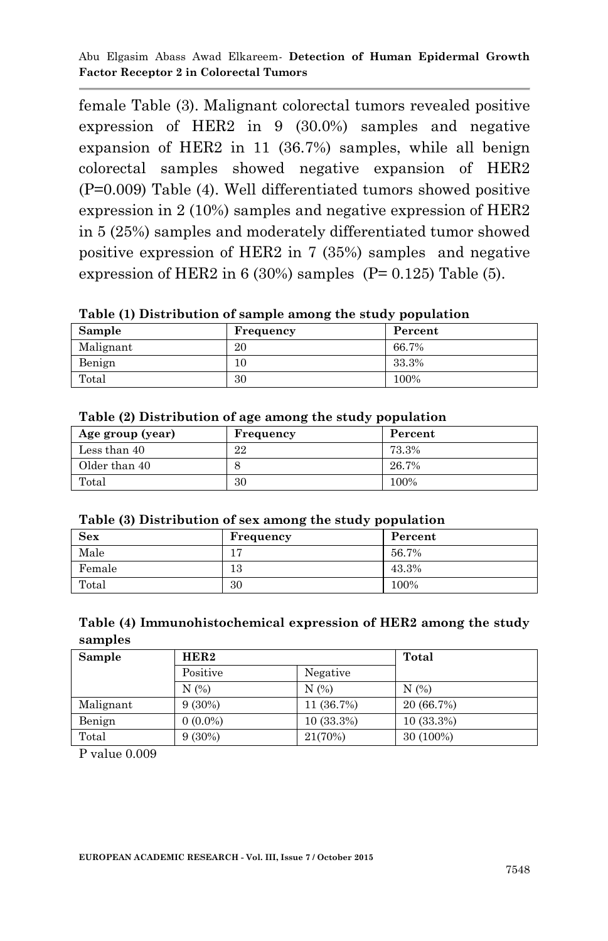Abu Elgasim Abass Awad Elkareem*-* **Detection of Human Epidermal Growth Factor Receptor 2 in Colorectal Tumors**

female Table (3). Malignant colorectal tumors revealed positive expression of HER2 in 9 (30.0%) samples and negative expansion of HER2 in 11 (36.7%) samples, while all benign colorectal samples showed negative expansion of HER2 (P=0.009) Table (4). Well differentiated tumors showed positive expression in 2 (10%) samples and negative expression of HER2 in 5 (25%) samples and moderately differentiated tumor showed positive expression of HER2 in 7 (35%) samples and negative expression of HER2 in 6 (30%) samples  $(P= 0.125)$  Table (5).

**Table (1) Distribution of sample among the study population**

| Sample    | Frequency | Percent |
|-----------|-----------|---------|
| Malignant | 20        | 66.7%   |
| Benign    | 10        | 33.3%   |
| Total     | 30        | 100%    |

| Age group (year) | Frequency | Percent |
|------------------|-----------|---------|
| Less than 40     | 22        | 73.3%   |
| Older than 40    |           | 26.7%   |
| Total            | 30        | 100%    |

#### **Table (2) Distribution of age among the study population**

|  | Table (3) Distribution of sex among the study population |  |  |
|--|----------------------------------------------------------|--|--|
|  |                                                          |  |  |

| <b>Sex</b> | Frequency | Percent |
|------------|-----------|---------|
| Male       |           | 56.7%   |
| Female     | 13        | 43.3%   |
| Total      | 30        | 100%    |

#### **Table (4) Immunohistochemical expression of HER2 among the study samples**

| Sample    | HER2       | Total        |              |
|-----------|------------|--------------|--------------|
|           | Positive   | Negative     |              |
|           | N(%)       | N(%)         | N(%)         |
| Malignant | $9(30\%)$  | 11 (36.7%)   | 20 (66.7%)   |
| Benign    | $0(0.0\%)$ | $10(33.3\%)$ | $10(33.3\%)$ |
| Total     | $9(30\%)$  | 21(70%)      | 30 (100%)    |

P value 0.009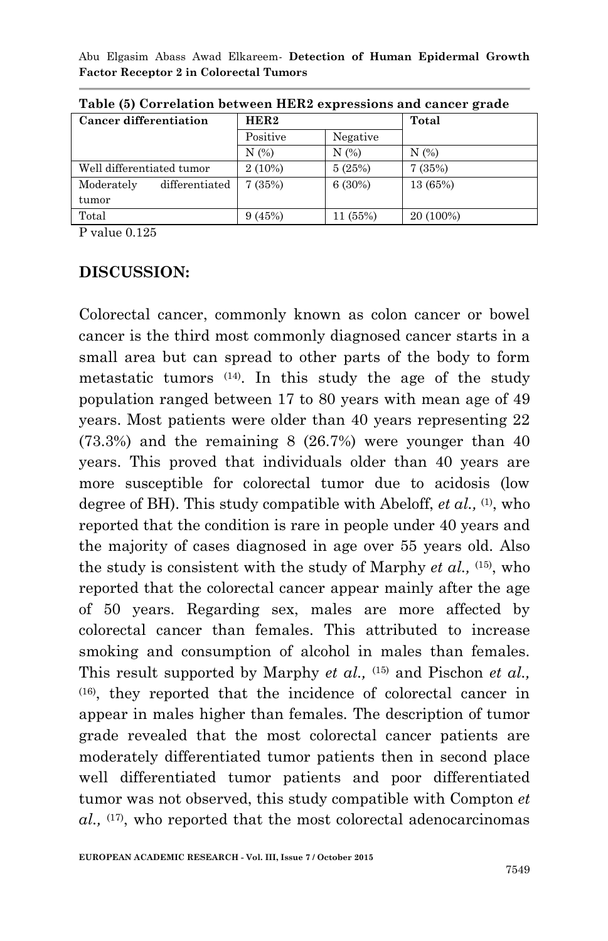Abu Elgasim Abass Awad Elkareem*-* **Detection of Human Epidermal Growth Factor Receptor 2 in Colorectal Tumors**

| <b>Cancer differentiation</b> | HER2      |          | Total     |
|-------------------------------|-----------|----------|-----------|
|                               | Positive  | Negative |           |
|                               | N(%)      | N(%)     | N(%)      |
| Well differentiated tumor     | $2(10\%)$ | 5(25%)   | 7(35%)    |
| differentiated<br>Moderately  | 7(35%)    | 6(30%)   | 13 (65%)  |
| tumor                         |           |          |           |
| Total                         | 9(45%)    | 11 (55%) | 20 (100%) |

**Table (5) Correlation between HER2 expressions and cancer grade**

P value 0.125

#### **DISCUSSION:**

Colorectal cancer, commonly known as colon cancer or bowel cancer is the third most commonly diagnosed cancer starts in a small area but can spread to other parts of the body to form metastatic tumors (14) . In this study the age of the study population ranged between 17 to 80 years with mean age of 49 years. Most patients were older than 40 years representing 22  $(73.3%)$  and the remaining  $8(26.7%)$  were younger than  $40$ years. This proved that individuals older than 40 years are more susceptible for colorectal tumor due to acidosis (low degree of BH). This study compatible with Abeloff, *et al.*, <sup>(1)</sup>, who reported that the condition is rare in people under 40 years and the majority of cases diagnosed in age over 55 years old. Also the study is consistent with the study of Marphy *et al.,* (15), who reported that the colorectal cancer appear mainly after the age of 50 years. Regarding sex, males are more affected by colorectal cancer than females. This attributed to increase smoking and consumption of alcohol in males than females. This result supported by Marphy *et al.,* (15) and Pischon *et al.,* (16) , they reported that the incidence of colorectal cancer in appear in males higher than females. The description of tumor grade revealed that the most colorectal cancer patients are moderately differentiated tumor patients then in second place well differentiated tumor patients and poor differentiated tumor was not observed, this study compatible with Compton *et al.,* (17) , who reported that the most colorectal adenocarcinomas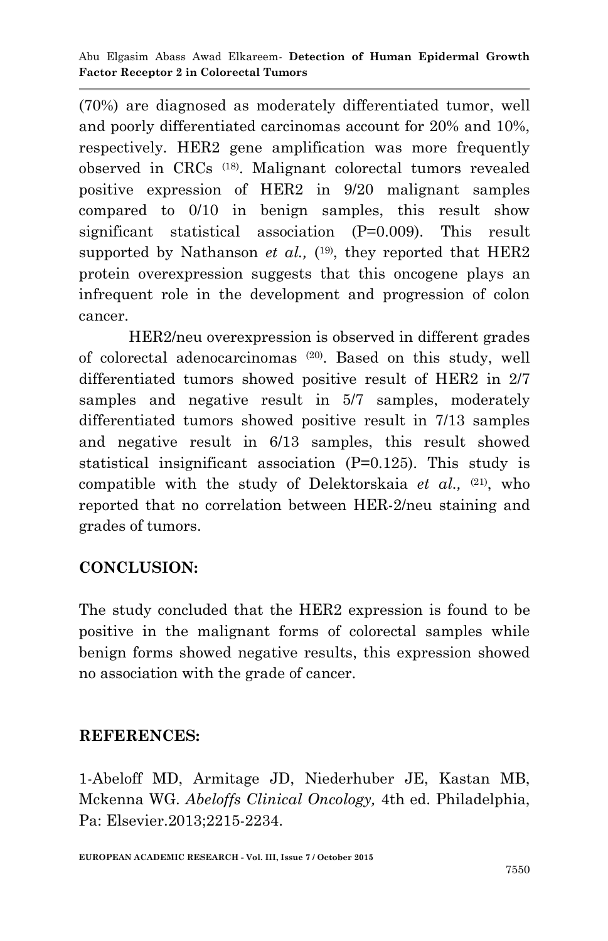(70%) are diagnosed as moderately differentiated tumor, well and poorly differentiated carcinomas account for 20% and 10%, respectively. HER2 gene amplification was more frequently observed in CRCs (18) . Malignant colorectal tumors revealed positive expression of HER2 in 9/20 malignant samples compared to 0/10 in benign samples, this result show significant statistical association (P=0.009). This result supported by Nathanson *et al.*,  $(19)$ , they reported that HER2 protein overexpression suggests that this oncogene plays an infrequent role in the development and progression of colon cancer.

HER2/neu overexpression is observed in different grades of colorectal adenocarcinomas (20) . Based on this study, well differentiated tumors showed positive result of HER2 in 2/7 samples and negative result in 5/7 samples, moderately differentiated tumors showed positive result in 7/13 samples and negative result in 6/13 samples, this result showed statistical insignificant association (P=0.125). This study is compatible with the study of Delektorskaia et al., <sup>(21)</sup>, who reported that no correlation between HER-2/neu staining and grades of tumors.

## **CONCLUSION:**

The study concluded that the HER2 expression is found to be positive in the malignant forms of colorectal samples while benign forms showed negative results, this expression showed no association with the grade of cancer.

#### **REFERENCES:**

1-Abeloff MD, Armitage JD, Niederhuber JE, Kastan MB, Mckenna WG. *Abeloffs Clinical Oncology,* 4th ed. Philadelphia, Pa: Elsevier.2013;2215-2234.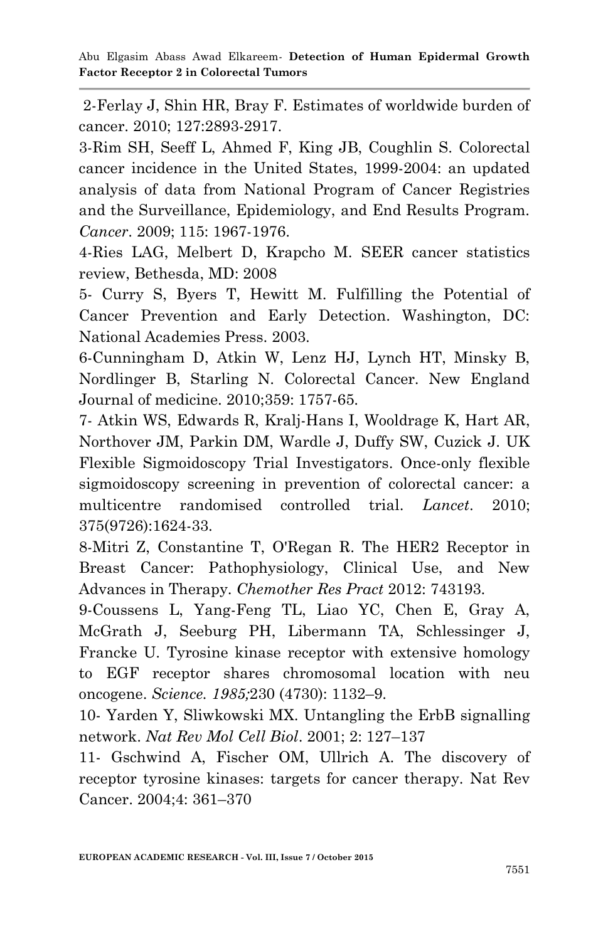2-Ferlay J, Shin HR, Bray F. Estimates of worldwide burden of cancer. 2010; 127:2893-2917.

3-Rim SH, Seeff L, Ahmed F, King JB, Coughlin S. Colorectal cancer incidence in the United States, 1999-2004: an updated analysis of data from National Program of Cancer Registries and the Surveillance, Epidemiology, and End Results Program. *Cancer*. 2009; 115: 1967-1976.

4-Ries LAG, Melbert D, Krapcho M. SEER cancer statistics review, Bethesda, MD: 2008

5- Curry S, Byers T, Hewitt M. Fulfilling the Potential of Cancer Prevention and Early Detection. Washington, DC: National Academies Press. 2003.

6-Cunningham D, Atkin W, Lenz HJ, Lynch HT, Minsky B, Nordlinger B, Starling N. Colorectal Cancer. New England Journal of medicine. 2010;359: 1757-65.

7- [Atkin WS,](http://www.ncbi.nlm.nih.gov/pubmed/?term=Atkin%20WS%5BAuthor%5D&cauthor=true&cauthor_uid=20430429) [Edwards R,](http://www.ncbi.nlm.nih.gov/pubmed/?term=Edwards%20R%5BAuthor%5D&cauthor=true&cauthor_uid=20430429) [Kralj-Hans I,](http://www.ncbi.nlm.nih.gov/pubmed/?term=Kralj-Hans%20I%5BAuthor%5D&cauthor=true&cauthor_uid=20430429) [Wooldrage K,](http://www.ncbi.nlm.nih.gov/pubmed/?term=Wooldrage%20K%5BAuthor%5D&cauthor=true&cauthor_uid=20430429) [Hart AR,](http://www.ncbi.nlm.nih.gov/pubmed/?term=Hart%20AR%5BAuthor%5D&cauthor=true&cauthor_uid=20430429) [Northover JM,](http://www.ncbi.nlm.nih.gov/pubmed/?term=Northover%20JM%5BAuthor%5D&cauthor=true&cauthor_uid=20430429) [Parkin DM,](http://www.ncbi.nlm.nih.gov/pubmed/?term=Parkin%20DM%5BAuthor%5D&cauthor=true&cauthor_uid=20430429) [Wardle J,](http://www.ncbi.nlm.nih.gov/pubmed/?term=Wardle%20J%5BAuthor%5D&cauthor=true&cauthor_uid=20430429) [Duffy SW,](http://www.ncbi.nlm.nih.gov/pubmed/?term=Duffy%20SW%5BAuthor%5D&cauthor=true&cauthor_uid=20430429) [Cuzick J.](http://www.ncbi.nlm.nih.gov/pubmed/?term=Cuzick%20J%5BAuthor%5D&cauthor=true&cauthor_uid=20430429) [UK](http://www.ncbi.nlm.nih.gov/pubmed/?term=UK%20Flexible%20Sigmoidoscopy%20Trial%20Investigators%5BCorporate%20Author%5D)  [Flexible Sigmoidoscopy Trial Investigators.](http://www.ncbi.nlm.nih.gov/pubmed/?term=UK%20Flexible%20Sigmoidoscopy%20Trial%20Investigators%5BCorporate%20Author%5D) Once-only flexible sigmoidoscopy screening in prevention of colorectal cancer: a multicentre randomised controlled trial. *[Lancet](http://www.ncbi.nlm.nih.gov/pubmed/20430429)*. 2010; 375(9726):1624-33.

8-Mitri Z, Constantine T, O'Regan R. The HER2 Receptor in Breast Cancer: Pathophysiology, Clinical Use, and New Advances in Therapy. *Chemother Res Pract* 2012: 743193.

9-Coussens L, Yang-Feng TL, Liao YC, Chen E, Gray A, McGrath J, Seeburg PH, Libermann TA, Schlessinger J, Francke U. Tyrosine kinase receptor with extensive homology to EGF receptor shares chromosomal location with neu oncogene. *Science. 1985;*230 (4730): 1132–9.

10- Yarden Y, Sliwkowski MX. Untangling the ErbB signalling network. *Nat Rev Mol Cell Biol*. 2001; 2: 127–137

11- Gschwind A, Fischer OM, Ullrich A. The discovery of receptor tyrosine kinases: targets for cancer therapy. Nat Rev Cancer. 2004;4: 361–370